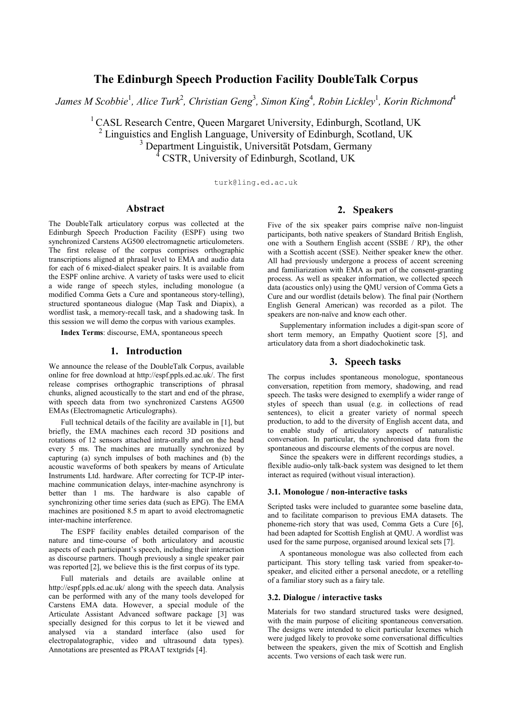# **The Edinburgh Speech Production Facility DoubleTalk Corpus**

 $J$ ames M Scobbie<sup>1</sup>, Alice Turk<sup>2</sup>, Christian Geng<sup>3</sup>, Simon King<sup>4</sup>, Robin Lickley<sup>1</sup>, Korin Richmond<sup>4</sup>

<sup>1</sup> CASL Research Centre, Queen Margaret University, Edinburgh, Scotland, UK <sup>2</sup> Linguistics and English Language, University of Edinburgh, Scotland, UK <sup>3</sup> Department Linguistik, Universität Potsdam, Germany <sup>4</sup> CSTR, University of Edinburgh, Scotland, UK

turk@ling.ed.ac.uk

# **Abstract**

The DoubleTalk articulatory corpus was collected at the Edinburgh Speech Production Facility (ESPF) using two synchronized Carstens AG500 electromagnetic articulometers. The first release of the corpus comprises orthographic transcriptions aligned at phrasal level to EMA and audio data for each of 6 mixed-dialect speaker pairs. It is available from the ESPF online archive. A variety of tasks were used to elicit a wide range of speech styles, including monologue (a modified Comma Gets a Cure and spontaneous story-telling), structured spontaneous dialogue (Map Task and Diapix), a wordlist task, a memory-recall task, and a shadowing task. In this session we will demo the corpus with various examples.

**Index Terms**: discourse, EMA, spontaneous speech

### **1. Introduction**

We announce the release of the DoubleTalk Corpus, available online for free download at http://espf.ppls.ed.ac.uk/. The first release comprises orthographic transcriptions of phrasal chunks, aligned acoustically to the start and end of the phrase, with speech data from two synchronized Carstens AG500 EMAs (Electromagnetic Articulographs).

Full technical details of the facility are available in [1], but briefly, the EMA machines each record 3D positions and rotations of 12 sensors attached intra-orally and on the head every 5 ms. The machines are mutually synchronized by capturing (a) synch impulses of both machines and (b) the acoustic waveforms of both speakers by means of Articulate Instruments Ltd. hardware. After correcting for TCP-IP intermachine communication delays, inter-machine asynchrony is better than 1 ms. The hardware is also capable of synchronizing other time series data (such as EPG). The EMA machines are positioned 8.5 m apart to avoid electromagnetic inter-machine interference.

The ESPF facility enables detailed comparison of the nature and time-course of both articulatory and acoustic aspects of each participant's speech, including their interaction as discourse partners. Though previously a single speaker pair was reported [2], we believe this is the first corpus of its type.

Full materials and details are available online at http://espf.ppls.ed.ac.uk/ along with the speech data. Analysis can be performed with any of the many tools developed for Carstens EMA data. However, a special module of the Articulate Assistant Advanced software package [3] was specially designed for this corpus to let it be viewed and analysed via a standard interface (also used for electropalatographic, video and ultrasound data types). Annotations are presented as PRAAT textgrids [4].

# **2. Speakers**

Five of the six speaker pairs comprise naïve non-linguist participants, both native speakers of Standard British English, one with a Southern English accent (SSBE / RP), the other with a Scottish accent (SSE). Neither speaker knew the other. All had previously undergone a process of accent screening and familiarization with EMA as part of the consent-granting process. As well as speaker information, we collected speech data (acoustics only) using the QMU version of Comma Gets a Cure and our wordlist (details below). The final pair (Northern English General American) was recorded as a pilot. The speakers are non-naïve and know each other.

Supplementary information includes a digit-span score of short term memory, an Empathy Quotient score [5], and articulatory data from a short diadochokinetic task.

## **3. Speech tasks**

The corpus includes spontaneous monologue, spontaneous conversation, repetition from memory, shadowing, and read speech. The tasks were designed to exemplify a wider range of styles of speech than usual (e.g. in collections of read sentences), to elicit a greater variety of normal speech production, to add to the diversity of English accent data, and to enable study of articulatory aspects of naturalistic conversation. In particular, the synchronised data from the spontaneous and discourse elements of the corpus are novel.

Since the speakers were in different recordings studies, a flexible audio-only talk-back system was designed to let them interact as required (without visual interaction).

### **3.1. Monologue / non-interactive tasks**

Scripted tasks were included to guarantee some baseline data, and to facilitate comparison to previous EMA datasets. The phoneme-rich story that was used, Comma Gets a Cure [6], had been adapted for Scottish English at QMU. A wordlist was used for the same purpose, organised around lexical sets [7].

A spontaneous monologue was also collected from each participant. This story telling task varied from speaker-tospeaker, and elicited either a personal anecdote, or a retelling of a familiar story such as a fairy tale.

#### **3.2. Dialogue / interactive tasks**

Materials for two standard structured tasks were designed, with the main purpose of eliciting spontaneous conversation. The designs were intended to elicit particular lexemes which were judged likely to provoke some conversational difficulties between the speakers, given the mix of Scottish and English accents. Two versions of each task were run.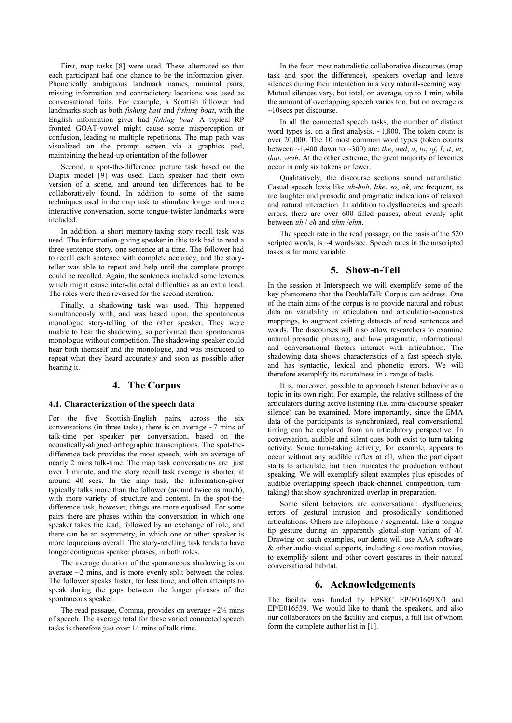First, map tasks [8] were used. These alternated so that each participant had one chance to be the information giver. Phonetically ambiguous landmark names, minimal pairs, missing information and contradictory locations was used as conversational foils. For example, a Scottish follower had landmarks such as both *fishing bait* and *fishing boat*, with the English information giver had *fishing boat*. A typical RP fronted GOAT-vowel might cause some misperception or confusion, leading to multiple repetitions. The map path was visualized on the prompt screen via a graphics pad, maintaining the head-up orientation of the follower.

Second, a spot-the-difference picture task based on the Diapix model [9] was used. Each speaker had their own version of a scene, and around ten differences had to be collaboratively found. In addition to some of the same techniques used in the map task to stimulate longer and more interactive conversation, some tongue-twister landmarks were included.

In addition, a short memory-taxing story recall task was used. The information-giving speaker in this task had to read a three-sentence story, one sentence at a time. The follower had to recall each sentence with complete accuracy, and the storyteller was able to repeat and help until the complete prompt could be recalled. Again, the sentences included some lexemes which might cause inter-dialectal difficulties as an extra load. The roles were then reversed for the second iteration.

Finally, a shadowing task was used. This happened simultaneously with, and was based upon, the spontaneous monologue story-telling of the other speaker. They were unable to hear the shadowing, so performed their spontaneous monologue without competition. The shadowing speaker could hear both themself and the monologue, and was instructed to repeat what they heard accurately and soon as possible after hearing it.

### **4. The Corpus**

#### **4.1. Characterization of the speech data**

For the five Scottish-English pairs, across the six conversations (in three tasks), there is on average  $\sim$ 7 mins of talk-time per speaker per conversation, based on the acoustically-aligned orthographic transcriptions. The spot-thedifference task provides the most speech, with an average of nearly 2 mins talk-time. The map task conversations are just over 1 minute, and the story recall task average is shorter, at around 40 secs. In the map task, the information-giver typically talks more than the follower (around twice as much), with more variety of structure and content. In the spot-thedifference task, however, things are more equalised. For some pairs there are phases within the conversation in which one speaker takes the lead, followed by an exchange of role; and there can be an asymmetry, in which one or other speaker is more loquacious overall. The story-retelling task tends to have longer contiguous speaker phrases, in both roles.

The average duration of the spontaneous shadowing is on average  $\sim$ 2 mins, and is more evenly split between the roles. The follower speaks faster, for less time, and often attempts to speak during the gaps between the longer phrases of the spontaneous speaker.

The read passage, Comma, provides on average  $\sim$ 2 $\frac{1}{2}$  mins of speech. The average total for these varied connected speech tasks is therefore just over 14 mins of talk-time.

In the four most naturalistic collaborative discourses (map task and spot the difference), speakers overlap and leave silences during their interaction in a very natural-seeming way. Mutual silences vary, but total, on average, up to 1 min, while the amount of overlapping speech varies too, but on average is ~10secs per discourse.

In all the connected speech tasks, the number of distinct word types is, on a first analysis, ~1,800. The token count is over 20,000. The 10 most common word types (token counts between ~1,400 down to ~300) are: *the*, *and*, *a*, *to*, *of*, *I*, *it*, *in*, *that*, *yeah*. At the other extreme, the great majority of lexemes occur in only six tokens or fewer.

Qualitatively, the discourse sections sound naturalistic. Casual speech lexis like *uh*-*huh*, *like*, *so*, *ok*, are frequent, as are laughter and prosodic and pragmatic indications of relaxed and natural interaction. In addition to dysfluencies and speech errors, there are over 600 filled pauses, about evenly split between *uh* / *eh* and *uhm* /*ehm*.

The speech rate in the read passage, on the basis of the 520 scripted words, is ~4 words/sec. Speech rates in the unscripted tasks is far more variable.

# **5. Show-n-Tell**

In the session at Interspeech we will exemplify some of the key phenomena that the DoubleTalk Corpus can address. One of the main aims of the corpus is to provide natural and robust data on variability in articulation and articulation-acoustics mappings, to augment existing datasets of read sentences and words. The discourses will also allow researchers to examine natural prosodic phrasing, and how pragmatic, informational and conversational factors interact with articulation. The shadowing data shows characteristics of a fast speech style, and has syntactic, lexical and phonetic errors. We will therefore exemplify its naturalness in a range of tasks.

It is, moreover, possible to approach listener behavior as a topic in its own right. For example, the relative stillness of the articulators during active listening (i.e. intra-discourse speaker silence) can be examined. More importantly, since the EMA data of the participants is synchronized, real conversational timing can be explored from an articulatory perspective. In conversation, audible and silent cues both exist to turn-taking activity. Some turn-taking activity, for example, appears to occur without any audible reflex at all, when the participant starts to articulate, but then truncates the production without speaking. We will exemplify silent examples plus episodes of audible overlapping speech (back-channel, competition, turntaking) that show synchronized overlap in preparation.

Some silent behaviors are conversational: dysfluencies, errors of gestural intrusion and prosodically conditioned articulations. Others are allophonic / segmental, like a tongue tip gesture during an apparently glottal-stop variant of /t/. Drawing on such examples, our demo will use AAA software & other audio-visual supports, including slow-motion movies, to exemplify silent and other covert gestures in their natural conversational habitat.

## **6. Acknowledgements**

The facility was funded by EPSRC EP/E01609X/1 and EP/E016539. We would like to thank the speakers, and also our collaborators on the facility and corpus, a full list of whom form the complete author list in [1].